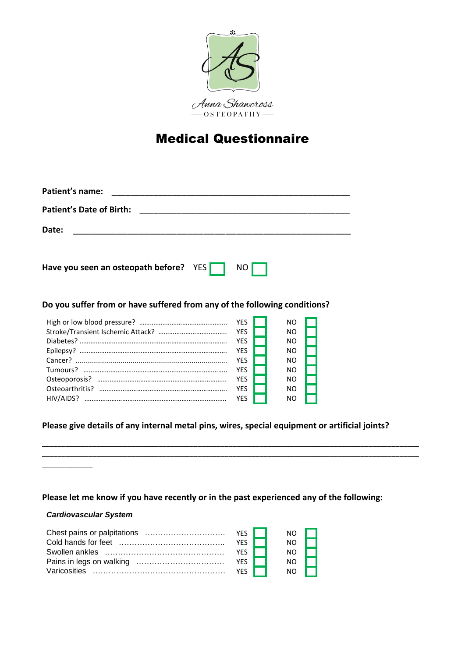

# Medical Questionnaire

| <b>Patient's name:</b>                                                    |  |  |  |  |  |  |
|---------------------------------------------------------------------------|--|--|--|--|--|--|
| Patient's Date of Birth:                                                  |  |  |  |  |  |  |
| Date:                                                                     |  |  |  |  |  |  |
| Have you seen an osteopath before? YES<br>NO.                             |  |  |  |  |  |  |
| Do you suffer from or have suffered from any of the following conditions? |  |  |  |  |  |  |
| <b>YES</b><br>ΝO<br><b>YES</b><br>ΝO                                      |  |  |  |  |  |  |

|            | NO. |
|------------|-----|
| <b>YFS</b> | NO. |
| <b>YFS</b> | NO. |
| YFS.       | NΩ  |
| <b>YFS</b> | NO. |
| <b>YFS</b> | NΩ  |
| <b>YFS</b> | NΩ  |
| YFS.       | NΩ  |
|            |     |

# **Please give details of any internal metal pins, wires, special equipment or artificial joints?**

\_\_\_\_\_\_\_\_\_\_\_\_\_\_\_\_\_\_\_\_\_\_\_\_\_\_\_\_\_\_\_\_\_\_\_\_\_\_\_\_\_\_\_\_\_\_\_\_\_\_\_\_\_\_\_\_\_\_\_\_\_\_\_\_\_\_\_\_\_\_\_\_\_\_\_\_\_\_\_\_\_\_\_\_\_\_\_\_\_\_\_\_\_\_\_\_\_ \_\_\_\_\_\_\_\_\_\_\_\_\_\_\_\_\_\_\_\_\_\_\_\_\_\_\_\_\_\_\_\_\_\_\_\_\_\_\_\_\_\_\_\_\_\_\_\_\_\_\_\_\_\_\_\_\_\_\_\_\_\_\_\_\_\_\_\_\_\_\_\_\_\_\_\_\_\_\_\_\_\_\_\_\_\_\_\_\_\_\_\_\_\_\_\_\_

### **Please let me know if you have recently or in the past experienced any of the following:**

#### *Cardiovascular System*

 $\overline{\phantom{a}}$  , where  $\overline{\phantom{a}}$ 

|            | NO. |             |
|------------|-----|-------------|
| YFS.       | NΩ  |             |
| YFS.       | NΩ  |             |
| YES        | NO. |             |
| <b>YFS</b> | NO. | <b>Tara</b> |